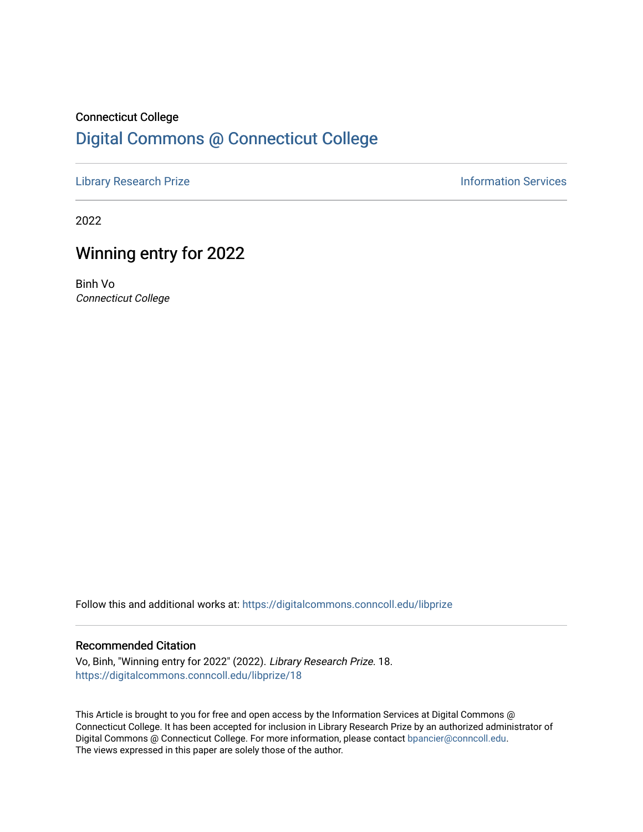# Connecticut College [Digital Commons @ Connecticut College](https://digitalcommons.conncoll.edu/)

[Library Research Prize](https://digitalcommons.conncoll.edu/libprize) **Information Services** 

2022

# Winning entry for 2022

Binh Vo Connecticut College

Follow this and additional works at: [https://digitalcommons.conncoll.edu/libprize](https://digitalcommons.conncoll.edu/libprize?utm_source=digitalcommons.conncoll.edu%2Flibprize%2F18&utm_medium=PDF&utm_campaign=PDFCoverPages) 

#### Recommended Citation

Vo, Binh, "Winning entry for 2022" (2022). Library Research Prize. 18. [https://digitalcommons.conncoll.edu/libprize/18](https://digitalcommons.conncoll.edu/libprize/18?utm_source=digitalcommons.conncoll.edu%2Flibprize%2F18&utm_medium=PDF&utm_campaign=PDFCoverPages)

This Article is brought to you for free and open access by the Information Services at Digital Commons @ Connecticut College. It has been accepted for inclusion in Library Research Prize by an authorized administrator of Digital Commons @ Connecticut College. For more information, please contact [bpancier@conncoll.edu](mailto:bpancier@conncoll.edu). The views expressed in this paper are solely those of the author.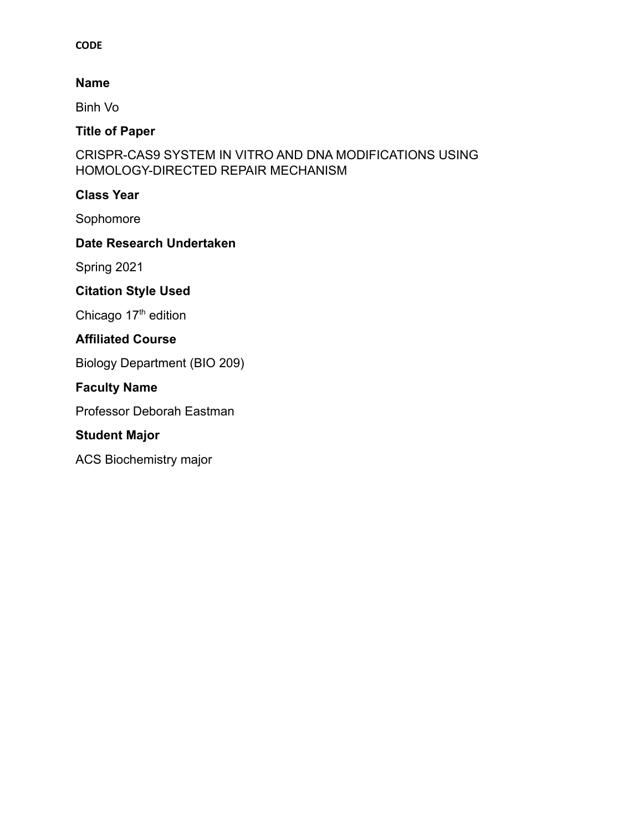## **CODE**

## **Name**

Binh Vo

# **Title of Paper**

CRISPR-CAS9 SYSTEM IN VITRO AND DNA MODIFICATIONS USING HOMOLOGY-DIRECTED REPAIR MECHANISM

## **Class Year**

Sophomore

# **Date Research Undertaken**

Spring 2021

# **Citation Style Used**

Chicago  $17<sup>th</sup>$  edition

# **Affiliated Course**

Biology Department (BIO 209)

# **Faculty Name**

Professor Deborah Eastman

# **Student Major**

ACS Biochemistry major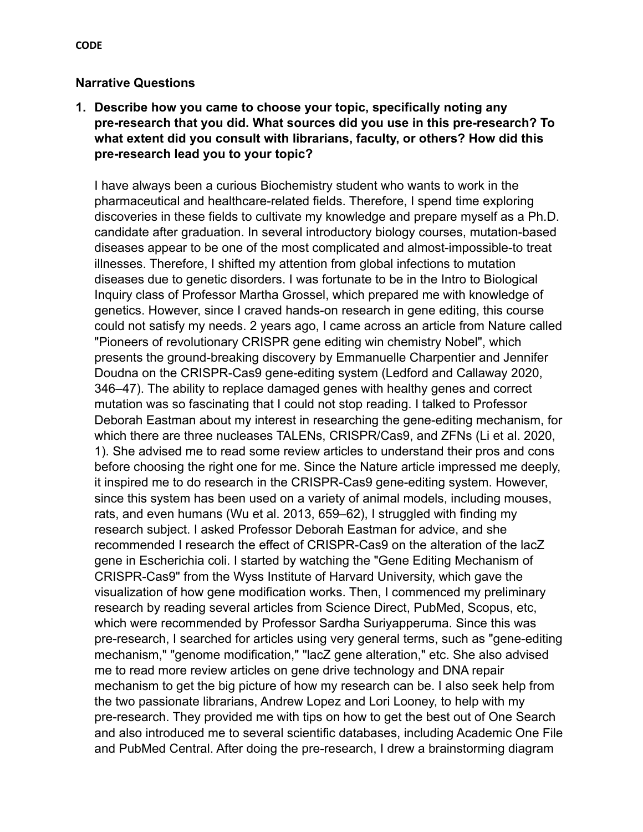## **Narrative Questions**

**1. Describe how you came to choose your topic, specifically noting any pre-research that you did. What sources did you use in this pre-research? To what extent did you consult with librarians, faculty, or others? How did this pre-research lead you to your topic?**

I have always been a curious Biochemistry student who wants to work in the pharmaceutical and healthcare-related fields. Therefore, I spend time exploring discoveries in these fields to cultivate my knowledge and prepare myself as a Ph.D. candidate after graduation. In several introductory biology courses, mutation-based diseases appear to be one of the most complicated and almost-impossible-to treat illnesses. Therefore, I shifted my attention from global infections to mutation diseases due to genetic disorders. I was fortunate to be in the Intro to Biological Inquiry class of Professor Martha Grossel, which prepared me with knowledge of genetics. However, since I craved hands-on research in gene editing, this course could not satisfy my needs. 2 years ago, I came across an article from Nature called "Pioneers of revolutionary CRISPR gene editing win chemistry Nobel", which presents the ground-breaking discovery by Emmanuelle Charpentier and Jennifer Doudna on the CRISPR-Cas9 gene-editing system (Ledford and Callaway 2020, 346–47). The ability to replace damaged genes with healthy genes and correct mutation was so fascinating that I could not stop reading. I talked to Professor Deborah Eastman about my interest in researching the gene-editing mechanism, for which there are three nucleases TALENs, CRISPR/Cas9, and ZFNs (Li et al. 2020, 1). She advised me to read some review articles to understand their pros and cons before choosing the right one for me. Since the Nature article impressed me deeply, it inspired me to do research in the CRISPR-Cas9 gene-editing system. However, since this system has been used on a variety of animal models, including mouses, rats, and even humans (Wu et al. 2013, 659–62), I struggled with finding my research subject. I asked Professor Deborah Eastman for advice, and she recommended I research the effect of CRISPR-Cas9 on the alteration of the lacZ gene in Escherichia coli. I started by watching the "Gene Editing Mechanism of CRISPR-Cas9" from the Wyss Institute of Harvard University, which gave the visualization of how gene modification works. Then, I commenced my preliminary research by reading several articles from Science Direct, PubMed, Scopus, etc, which were recommended by Professor Sardha Suriyapperuma. Since this was pre-research, I searched for articles using very general terms, such as "gene-editing mechanism," "genome modification," "lacZ gene alteration," etc. She also advised me to read more review articles on gene drive technology and DNA repair mechanism to get the big picture of how my research can be. I also seek help from the two passionate librarians, Andrew Lopez and Lori Looney, to help with my pre-research. They provided me with tips on how to get the best out of One Search and also introduced me to several scientific databases, including Academic One File and PubMed Central. After doing the pre-research, I drew a brainstorming diagram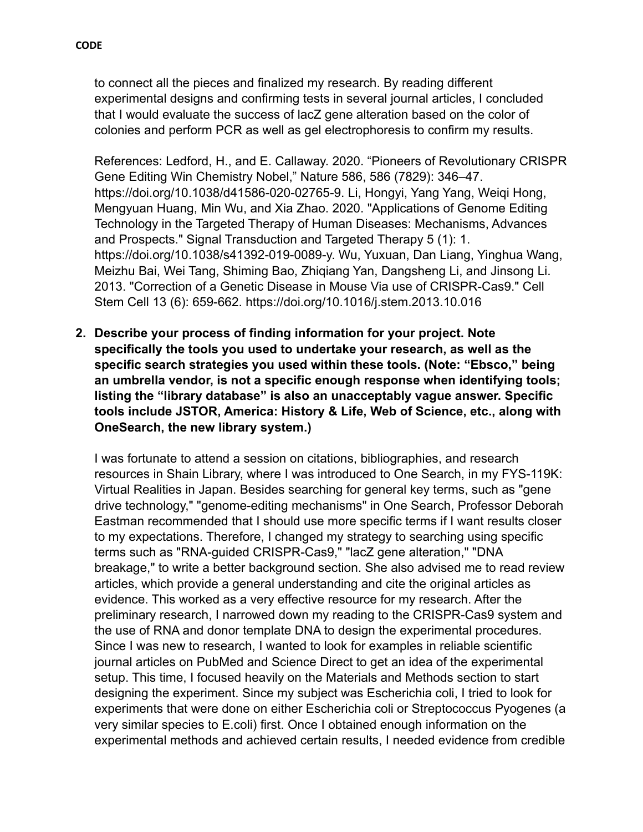to connect all the pieces and finalized my research. By reading different experimental designs and confirming tests in several journal articles, I concluded that I would evaluate the success of lacZ gene alteration based on the color of colonies and perform PCR as well as gel electrophoresis to confirm my results.

References: Ledford, H., and E. Callaway. 2020. "Pioneers of Revolutionary CRISPR Gene Editing Win Chemistry Nobel," Nature 586, 586 (7829): 346–47. https://doi.org/10.1038/d41586-020-02765-9. Li, Hongyi, Yang Yang, Weiqi Hong, Mengyuan Huang, Min Wu, and Xia Zhao. 2020. "Applications of Genome Editing Technology in the Targeted Therapy of Human Diseases: Mechanisms, Advances and Prospects." Signal Transduction and Targeted Therapy 5 (1): 1. https://doi.org/10.1038/s41392-019-0089-y. Wu, Yuxuan, Dan Liang, Yinghua Wang, Meizhu Bai, Wei Tang, Shiming Bao, Zhiqiang Yan, Dangsheng Li, and Jinsong Li. 2013. "Correction of a Genetic Disease in Mouse Via use of CRISPR-Cas9." Cell Stem Cell 13 (6): 659-662. https://doi.org/10.1016/j.stem.2013.10.016

**2. Describe your process of finding information for your project. Note specifically the tools you used to undertake your research, as well as the specific search strategies you used within these tools. (Note: "Ebsco," being an umbrella vendor, is not a specific enough response when identifying tools; listing the "library database" is also an unacceptably vague answer. Specific tools include JSTOR, America: History & Life, Web of Science, etc., along with OneSearch, the new library system.)**

I was fortunate to attend a session on citations, bibliographies, and research resources in Shain Library, where I was introduced to One Search, in my FYS-119K: Virtual Realities in Japan. Besides searching for general key terms, such as "gene drive technology," "genome-editing mechanisms" in One Search, Professor Deborah Eastman recommended that I should use more specific terms if I want results closer to my expectations. Therefore, I changed my strategy to searching using specific terms such as "RNA-guided CRISPR-Cas9," "lacZ gene alteration," "DNA breakage," to write a better background section. She also advised me to read review articles, which provide a general understanding and cite the original articles as evidence. This worked as a very effective resource for my research. After the preliminary research, I narrowed down my reading to the CRISPR-Cas9 system and the use of RNA and donor template DNA to design the experimental procedures. Since I was new to research, I wanted to look for examples in reliable scientific journal articles on PubMed and Science Direct to get an idea of the experimental setup. This time, I focused heavily on the Materials and Methods section to start designing the experiment. Since my subject was Escherichia coli, I tried to look for experiments that were done on either Escherichia coli or Streptococcus Pyogenes (a very similar species to E.coli) first. Once I obtained enough information on the experimental methods and achieved certain results, I needed evidence from credible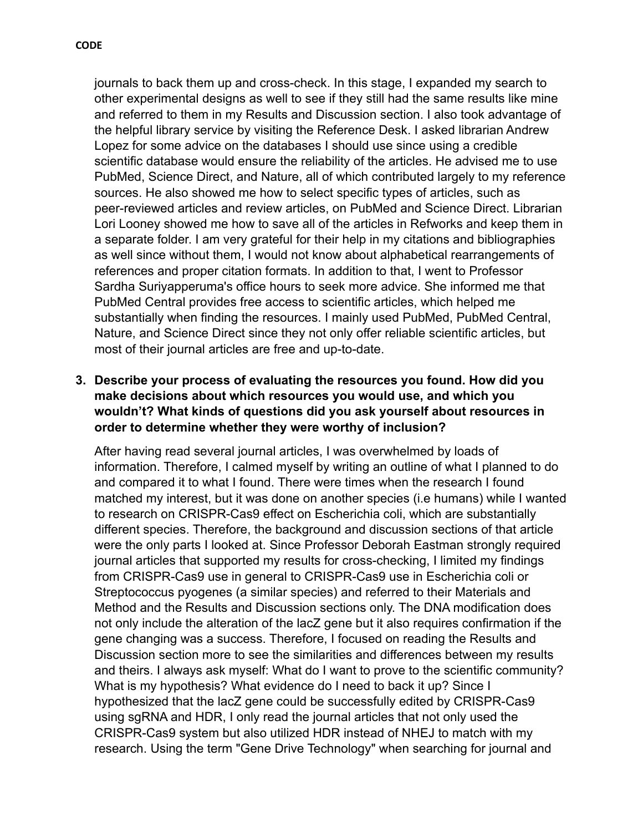journals to back them up and cross-check. In this stage, I expanded my search to other experimental designs as well to see if they still had the same results like mine and referred to them in my Results and Discussion section. I also took advantage of the helpful library service by visiting the Reference Desk. I asked librarian Andrew Lopez for some advice on the databases I should use since using a credible scientific database would ensure the reliability of the articles. He advised me to use PubMed, Science Direct, and Nature, all of which contributed largely to my reference sources. He also showed me how to select specific types of articles, such as peer-reviewed articles and review articles, on PubMed and Science Direct. Librarian Lori Looney showed me how to save all of the articles in Refworks and keep them in a separate folder. I am very grateful for their help in my citations and bibliographies as well since without them, I would not know about alphabetical rearrangements of references and proper citation formats. In addition to that, I went to Professor Sardha Suriyapperuma's office hours to seek more advice. She informed me that PubMed Central provides free access to scientific articles, which helped me substantially when finding the resources. I mainly used PubMed, PubMed Central, Nature, and Science Direct since they not only offer reliable scientific articles, but most of their journal articles are free and up-to-date.

# **3. Describe your process of evaluating the resources you found. How did you make decisions about which resources you would use, and which you wouldn't? What kinds of questions did you ask yourself about resources in order to determine whether they were worthy of inclusion?**

After having read several journal articles, I was overwhelmed by loads of information. Therefore, I calmed myself by writing an outline of what I planned to do and compared it to what I found. There were times when the research I found matched my interest, but it was done on another species (i.e humans) while I wanted to research on CRISPR-Cas9 effect on Escherichia coli, which are substantially different species. Therefore, the background and discussion sections of that article were the only parts I looked at. Since Professor Deborah Eastman strongly required journal articles that supported my results for cross-checking, I limited my findings from CRISPR-Cas9 use in general to CRISPR-Cas9 use in Escherichia coli or Streptococcus pyogenes (a similar species) and referred to their Materials and Method and the Results and Discussion sections only. The DNA modification does not only include the alteration of the lacZ gene but it also requires confirmation if the gene changing was a success. Therefore, I focused on reading the Results and Discussion section more to see the similarities and differences between my results and theirs. I always ask myself: What do I want to prove to the scientific community? What is my hypothesis? What evidence do I need to back it up? Since I hypothesized that the lacZ gene could be successfully edited by CRISPR-Cas9 using sgRNA and HDR, I only read the journal articles that not only used the CRISPR-Cas9 system but also utilized HDR instead of NHEJ to match with my research. Using the term "Gene Drive Technology" when searching for journal and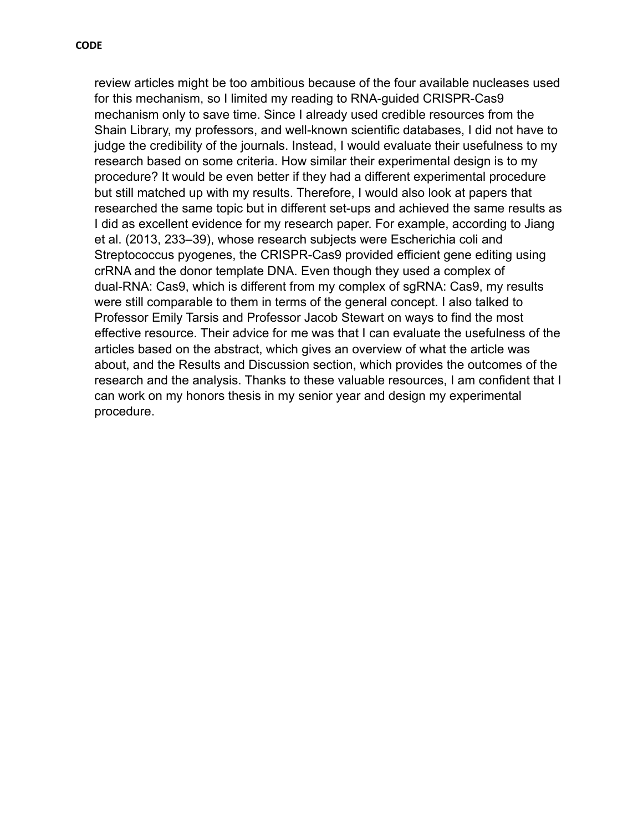review articles might be too ambitious because of the four available nucleases used for this mechanism, so I limited my reading to RNA-guided CRISPR-Cas9 mechanism only to save time. Since I already used credible resources from the Shain Library, my professors, and well-known scientific databases, I did not have to judge the credibility of the journals. Instead, I would evaluate their usefulness to my research based on some criteria. How similar their experimental design is to my procedure? It would be even better if they had a different experimental procedure but still matched up with my results. Therefore, I would also look at papers that researched the same topic but in different set-ups and achieved the same results as I did as excellent evidence for my research paper. For example, according to Jiang et al. (2013, 233–39), whose research subjects were Escherichia coli and Streptococcus pyogenes, the CRISPR-Cas9 provided efficient gene editing using crRNA and the donor template DNA. Even though they used a complex of dual-RNA: Cas9, which is different from my complex of sgRNA: Cas9, my results were still comparable to them in terms of the general concept. I also talked to Professor Emily Tarsis and Professor Jacob Stewart on ways to find the most effective resource. Their advice for me was that I can evaluate the usefulness of the articles based on the abstract, which gives an overview of what the article was about, and the Results and Discussion section, which provides the outcomes of the research and the analysis. Thanks to these valuable resources, I am confident that I can work on my honors thesis in my senior year and design my experimental procedure.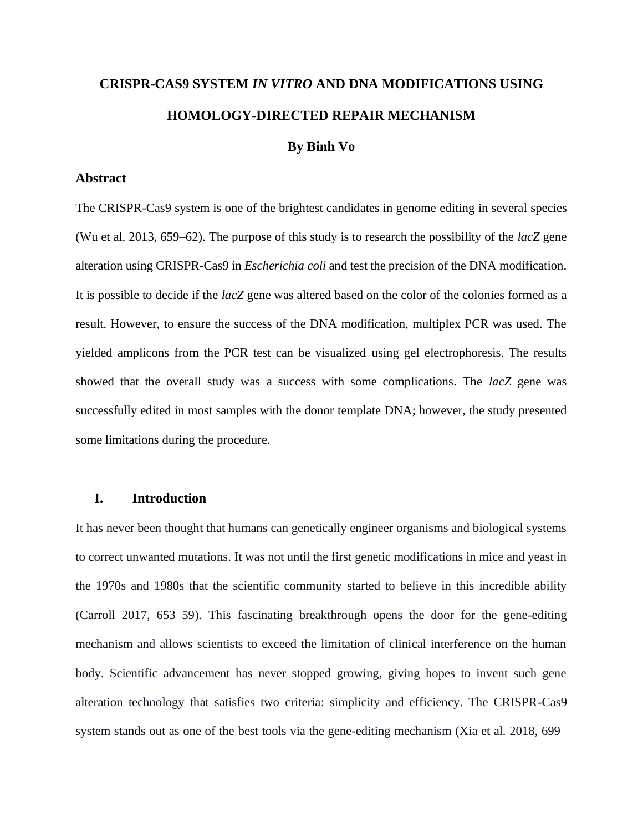# **CRISPR-CAS9 SYSTEM** *IN VITRO* **AND DNA MODIFICATIONS USING HOMOLOGY-DIRECTED REPAIR MECHANISM**

#### **By Binh Vo**

#### **Abstract**

The CRISPR-Cas9 system is one of the brightest candidates in genome editing in several species (Wu et al. 2013, 659–62). The purpose of this study is to research the possibility of the *lacZ* gene alteration using CRISPR-Cas9 in *Escherichia coli* and test the precision of the DNA modification. It is possible to decide if the *lacZ* gene was altered based on the color of the colonies formed as a result. However, to ensure the success of the DNA modification, multiplex PCR was used. The yielded amplicons from the PCR test can be visualized using gel electrophoresis. The results showed that the overall study was a success with some complications. The *lacZ* gene was successfully edited in most samples with the donor template DNA; however, the study presented some limitations during the procedure.

#### **I. Introduction**

It has never been thought that humans can genetically engineer organisms and biological systems to correct unwanted mutations. It was not until the first genetic modifications in mice and yeast in the 1970s and 1980s that the scientific community started to believe in this incredible ability (Carroll 2017, 653–59). This fascinating breakthrough opens the door for the gene-editing mechanism and allows scientists to exceed the limitation of clinical interference on the human body. Scientific advancement has never stopped growing, giving hopes to invent such gene alteration technology that satisfies two criteria: simplicity and efficiency. The CRISPR-Cas9 system stands out as one of the best tools via the gene-editing mechanism (Xia et al. 2018, 699–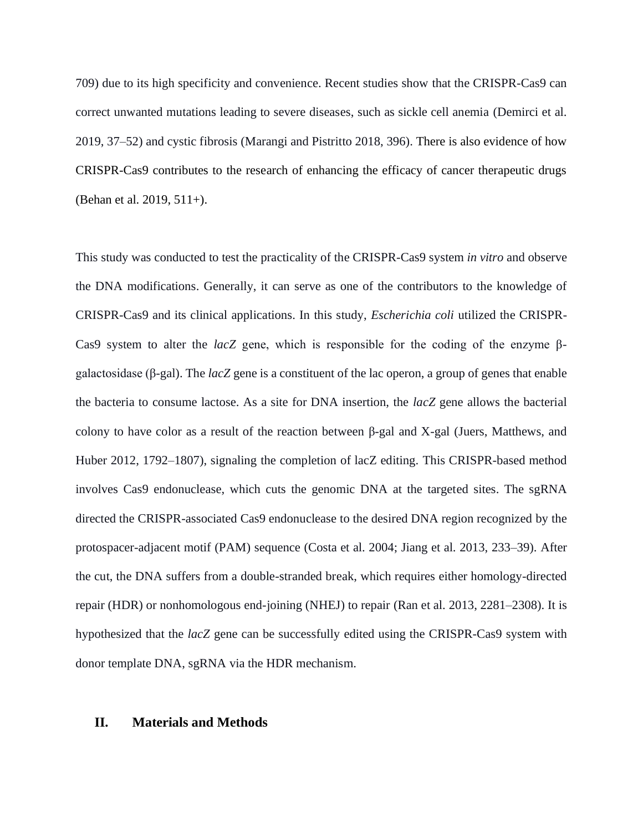709) due to its high specificity and convenience. Recent studies show that the CRISPR-Cas9 can correct unwanted mutations leading to severe diseases, such as sickle cell anemia (Demirci et al. 2019, 37–52) and cystic fibrosis (Marangi and Pistritto 2018, 396). There is also evidence of how CRISPR-Cas9 contributes to the research of enhancing the efficacy of cancer therapeutic drugs (Behan et al. 2019, 511+).

This study was conducted to test the practicality of the CRISPR-Cas9 system *in vitro* and observe the DNA modifications. Generally, it can serve as one of the contributors to the knowledge of CRISPR-Cas9 and its clinical applications. In this study, *Escherichia coli* utilized the CRISPR-Cas9 system to alter the *lacZ* gene, which is responsible for the coding of the enzyme βgalactosidase (β-gal). The *lacZ* gene is a constituent of the lac operon, a group of genes that enable the bacteria to consume lactose. As a site for DNA insertion, the *lacZ* gene allows the bacterial colony to have color as a result of the reaction between β-gal and X-gal (Juers, Matthews, and Huber 2012, 1792–1807), signaling the completion of lacZ editing. This CRISPR-based method involves Cas9 endonuclease, which cuts the genomic DNA at the targeted sites. The sgRNA directed the CRISPR-associated Cas9 endonuclease to the desired DNA region recognized by the protospacer-adjacent motif (PAM) sequence (Costa et al. 2004; Jiang et al. 2013, 233–39). After the cut, the DNA suffers from a double-stranded break, which requires either homology-directed repair (HDR) or nonhomologous end-joining (NHEJ) to repair (Ran et al. 2013, 2281–2308). It is hypothesized that the *lacZ* gene can be successfully edited using the CRISPR-Cas9 system with donor template DNA, sgRNA via the HDR mechanism.

#### **II. Materials and Methods**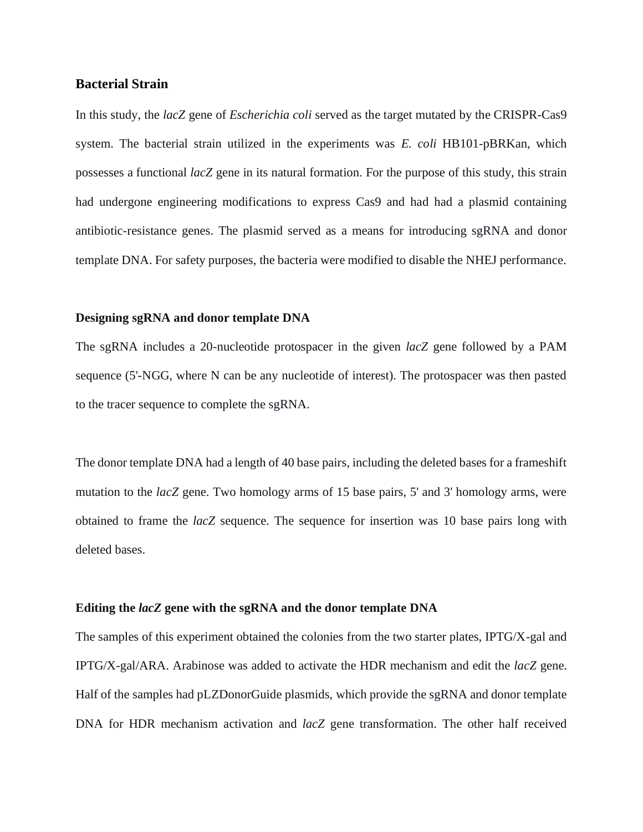#### **Bacterial Strain**

In this study, the *lacZ* gene of *Escherichia coli* served as the target mutated by the CRISPR-Cas9 system. The bacterial strain utilized in the experiments was *E. coli* HB101-pBRKan, which possesses a functional *lacZ* gene in its natural formation. For the purpose of this study, this strain had undergone engineering modifications to express Cas9 and had had a plasmid containing antibiotic-resistance genes. The plasmid served as a means for introducing sgRNA and donor template DNA. For safety purposes, the bacteria were modified to disable the NHEJ performance.

#### **Designing sgRNA and donor template DNA**

The sgRNA includes a 20-nucleotide protospacer in the given *lacZ* gene followed by a PAM sequence (5'-NGG, where N can be any nucleotide of interest). The protospacer was then pasted to the tracer sequence to complete the sgRNA.

The donor template DNA had a length of 40 base pairs, including the deleted bases for a frameshift mutation to the *lacZ* gene. Two homology arms of 15 base pairs, 5' and 3' homology arms, were obtained to frame the *lacZ* sequence. The sequence for insertion was 10 base pairs long with deleted bases.

#### **Editing the** *lacZ* **gene with the sgRNA and the donor template DNA**

The samples of this experiment obtained the colonies from the two starter plates, IPTG/X-gal and IPTG/X-gal/ARA. Arabinose was added to activate the HDR mechanism and edit the *lacZ* gene. Half of the samples had pLZDonorGuide plasmids, which provide the sgRNA and donor template DNA for HDR mechanism activation and *lacZ* gene transformation. The other half received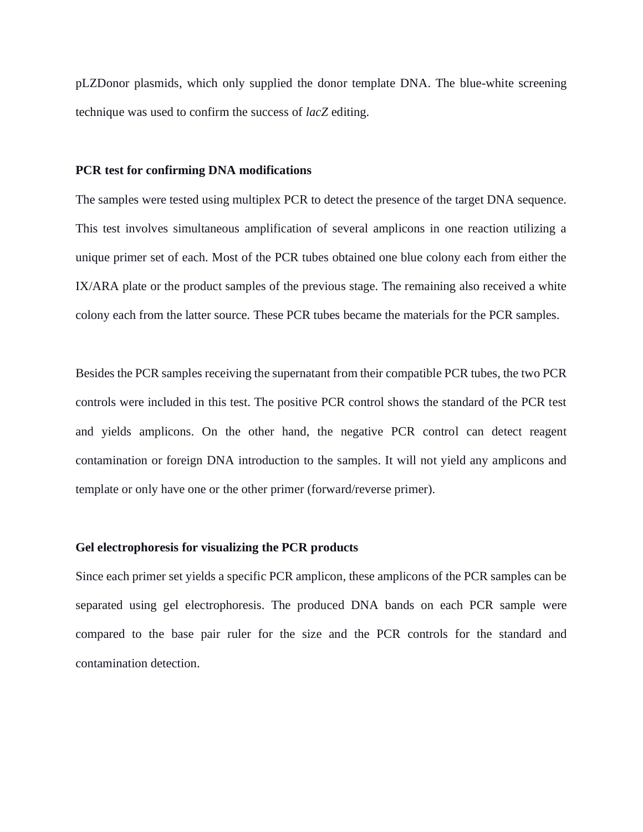pLZDonor plasmids, which only supplied the donor template DNA. The blue-white screening technique was used to confirm the success of *lacZ* editing.

#### **PCR test for confirming DNA modifications**

The samples were tested using multiplex PCR to detect the presence of the target DNA sequence. This test involves simultaneous amplification of several amplicons in one reaction utilizing a unique primer set of each. Most of the PCR tubes obtained one blue colony each from either the IX/ARA plate or the product samples of the previous stage. The remaining also received a white colony each from the latter source. These PCR tubes became the materials for the PCR samples.

Besides the PCR samples receiving the supernatant from their compatible PCR tubes, the two PCR controls were included in this test. The positive PCR control shows the standard of the PCR test and yields amplicons. On the other hand, the negative PCR control can detect reagent contamination or foreign DNA introduction to the samples. It will not yield any amplicons and template or only have one or the other primer (forward/reverse primer).

#### **Gel electrophoresis for visualizing the PCR products**

Since each primer set yields a specific PCR amplicon, these amplicons of the PCR samples can be separated using gel electrophoresis. The produced DNA bands on each PCR sample were compared to the base pair ruler for the size and the PCR controls for the standard and contamination detection.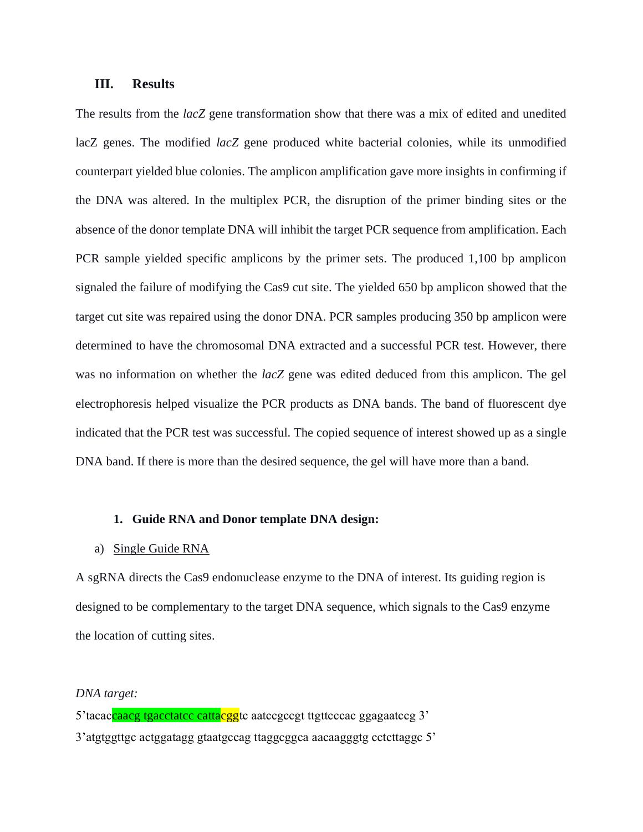#### **III. Results**

The results from the *lacZ* gene transformation show that there was a mix of edited and unedited lacZ genes. The modified *lacZ* gene produced white bacterial colonies, while its unmodified counterpart yielded blue colonies. The amplicon amplification gave more insights in confirming if the DNA was altered. In the multiplex PCR, the disruption of the primer binding sites or the absence of the donor template DNA will inhibit the target PCR sequence from amplification. Each PCR sample yielded specific amplicons by the primer sets. The produced 1,100 bp amplicon signaled the failure of modifying the Cas9 cut site. The yielded 650 bp amplicon showed that the target cut site was repaired using the donor DNA. PCR samples producing 350 bp amplicon were determined to have the chromosomal DNA extracted and a successful PCR test. However, there was no information on whether the *lacZ* gene was edited deduced from this amplicon. The gel electrophoresis helped visualize the PCR products as DNA bands. The band of fluorescent dye indicated that the PCR test was successful. The copied sequence of interest showed up as a single DNA band. If there is more than the desired sequence, the gel will have more than a band.

#### **1. Guide RNA and Donor template DNA design:**

#### a) Single Guide RNA

A sgRNA directs the Cas9 endonuclease enzyme to the DNA of interest. Its guiding region is designed to be complementary to the target DNA sequence, which signals to the Cas9 enzyme the location of cutting sites.

#### *DNA target:*

5'tacaccaacg tgacctatcc cattacggtc aatccgccgt ttgttcccac ggagaatccg 3' 3'atgtggttgc actggatagg gtaatgccag ttaggcggca aacaagggtg cctcttaggc 5'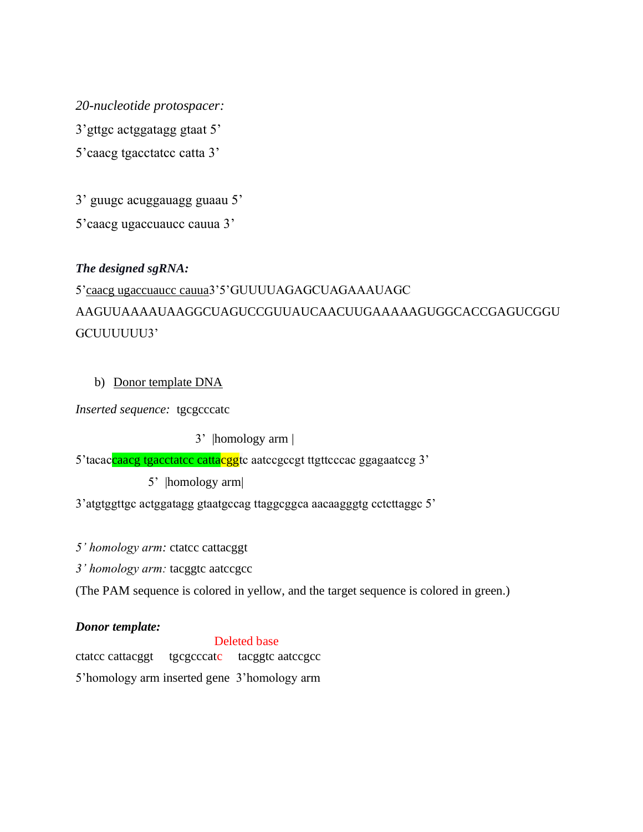*20-nucleotide protospacer:* 3'gttgc actggatagg gtaat 5' 5'caacg tgacctatcc catta 3'

3' guugc acuggauagg guaau 5'

5'caacg ugaccuaucc cauua 3'

# *The designed sgRNA:*

# 5'caacg ugaccuaucc cauua3'5'GUUUUAGAGCUAGAAAUAGC AAGUUAAAAUAAGGCUAGUCCGUUAUCAACUUGAAAAAGUGGCACCGAGUCGGU GCUUUUUU3'

# b) Donor template DNA

*Inserted sequence:* tgcgcccatc

3' |homology arm |

5'tacaccaacg tgacctatcc cattacggtc aatccgccgt ttgttcccac ggagaatccg 3'

5' |homology arm|

3'atgtggttgc actggatagg gtaatgccag ttaggcggca aacaagggtg cctcttaggc 5'

*5' homology arm:* ctatcc cattacggt

*3' homology arm:* tacggtc aatccgcc

(The PAM sequence is colored in yellow, and the target sequence is colored in green.)

# *Donor template:*

Deleted base

ctatcc cattacggt tgcgcccatc tacggtc aatccgcc 5'homology arm inserted gene 3'homology arm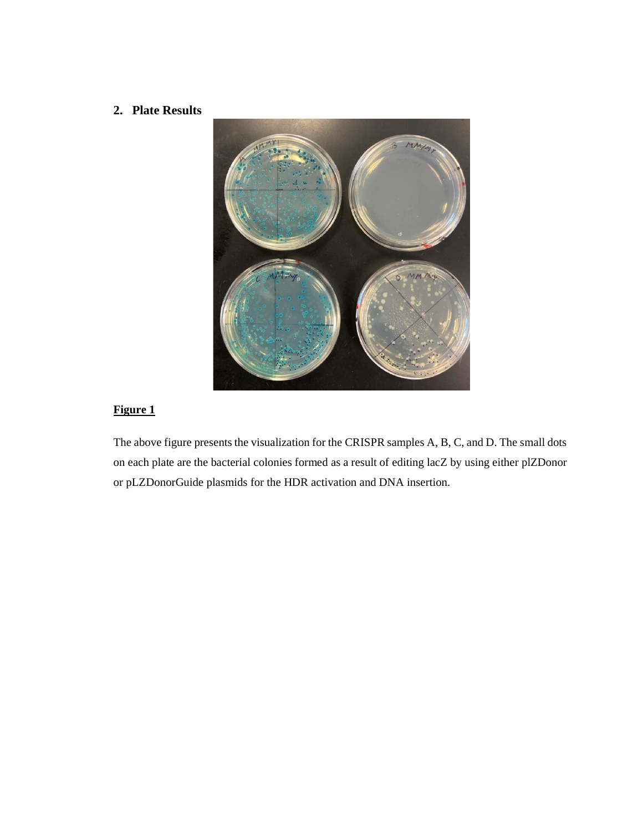## **2. Plate Results**



# **Figure 1**

The above figure presents the visualization for the CRISPR samples A, B, C, and D. The small dots on each plate are the bacterial colonies formed as a result of editing lacZ by using either plZDonor or pLZDonorGuide plasmids for the HDR activation and DNA insertion.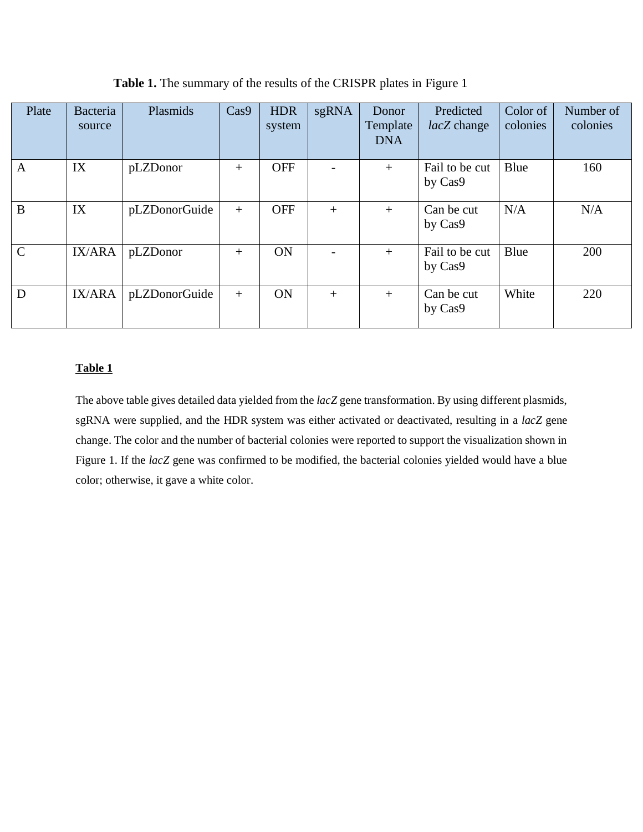| Plate        | Bacteria<br>source | Plasmids      | Cas9   | <b>HDR</b><br>system | sgRNA  | Donor<br>Template<br><b>DNA</b> | Predicted<br>lacZ change  | Color of<br>colonies | Number of<br>colonies |
|--------------|--------------------|---------------|--------|----------------------|--------|---------------------------------|---------------------------|----------------------|-----------------------|
| $\mathbf{A}$ | IX                 | pLZDonor      | $+$    | <b>OFF</b>           |        | $+$                             | Fail to be cut<br>by Cas9 | Blue                 | 160                   |
| B            | IX                 | pLZDonorGuide | $+$    | <b>OFF</b>           | $+$    | $+$                             | Can be cut<br>by Cas9     | N/A                  | N/A                   |
| $\mathbf C$  | IX/ARA             | pLZDonor      | $^{+}$ | ON                   |        | $+$                             | Fail to be cut<br>by Cas9 | Blue                 | 200                   |
| D            | IX/ARA             | pLZDonorGuide | $+$    | <b>ON</b>            | $^{+}$ | $+$                             | Can be cut<br>by Cas9     | White                | 220                   |

**Table 1.** The summary of the results of the CRISPR plates in Figure 1

#### **Table 1**

The above table gives detailed data yielded from the *lacZ* gene transformation. By using different plasmids, sgRNA were supplied, and the HDR system was either activated or deactivated, resulting in a *lacZ* gene change. The color and the number of bacterial colonies were reported to support the visualization shown in Figure 1. If the *lacZ* gene was confirmed to be modified, the bacterial colonies yielded would have a blue color; otherwise, it gave a white color.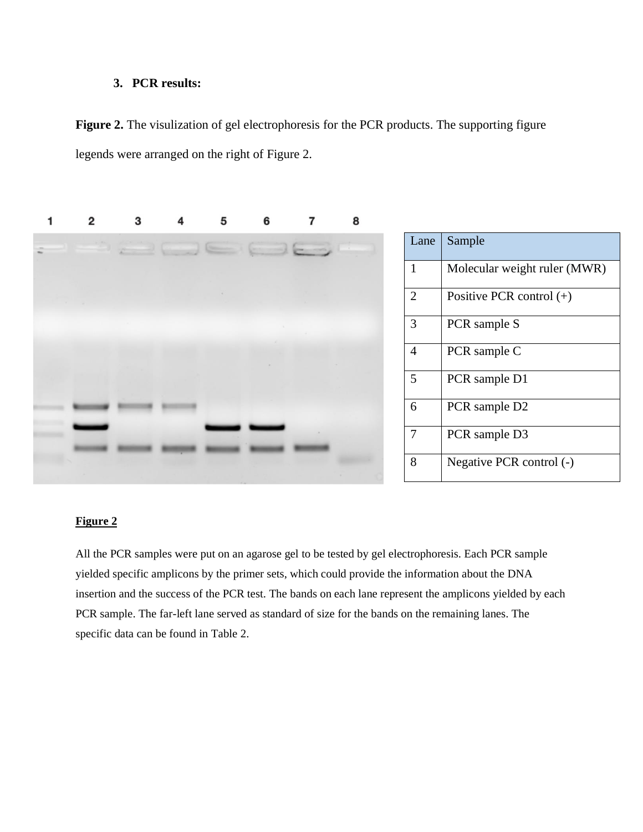## **3. PCR results:**

Figure 2. The visulization of gel electrophoresis for the PCR products. The supporting figure legends were arranged on the right of Figure 2.



| $\Rightarrow$<br>z<br>۰ | L                |
|-------------------------|------------------|
|                         | $\mathbf{1}$     |
|                         | $\sqrt{2}$       |
|                         | $\mathfrak{Z}$   |
|                         | $\overline{4}$   |
|                         | $\mathfrak{S}$   |
|                         | $\sqrt{6}$       |
|                         | $\boldsymbol{7}$ |
|                         | $8\,$            |

| Lane           | Sample                       |
|----------------|------------------------------|
| 1              | Molecular weight ruler (MWR) |
| $\overline{2}$ | Positive PCR control $(+)$   |
| 3              | PCR sample S                 |
| 4              | PCR sample C                 |
| 5              | PCR sample D1                |
| 6              | PCR sample D2                |
| 7              | PCR sample D3                |
| 8              | Negative PCR control (-)     |

#### **Figure 2**

All the PCR samples were put on an agarose gel to be tested by gel electrophoresis. Each PCR sample yielded specific amplicons by the primer sets, which could provide the information about the DNA insertion and the success of the PCR test. The bands on each lane represent the amplicons yielded by each PCR sample. The far-left lane served as standard of size for the bands on the remaining lanes. The specific data can be found in Table 2.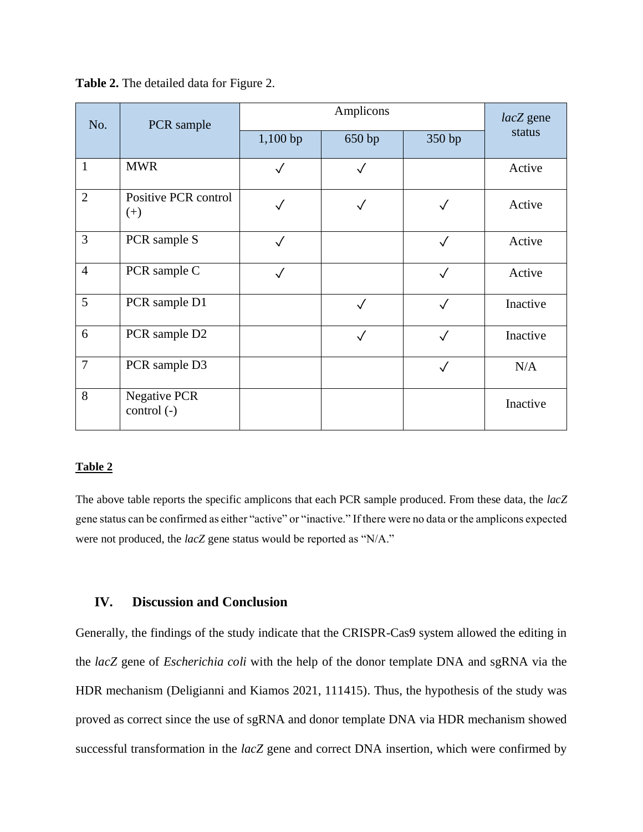| No.            | PCR sample                          |              | $lacZ$ gene  |              |          |
|----------------|-------------------------------------|--------------|--------------|--------------|----------|
|                |                                     | $1,100$ bp   | 650 bp       | 350 bp       | status   |
| $\mathbf{1}$   | <b>MWR</b>                          |              | $\checkmark$ |              | Active   |
| $\overline{2}$ | Positive PCR control<br>$(+)$       |              |              | $\checkmark$ | Active   |
| $\overline{3}$ | PCR sample S                        | $\checkmark$ |              | $\checkmark$ | Active   |
| $\overline{4}$ | PCR sample C                        | $\checkmark$ |              | $\checkmark$ | Active   |
| 5              | PCR sample D1                       |              | $\checkmark$ | $\checkmark$ | Inactive |
| 6              | PCR sample D2                       |              | $\checkmark$ | $\checkmark$ | Inactive |
| $\overline{7}$ | PCR sample D3                       |              |              | $\checkmark$ | N/A      |
| 8              | <b>Negative PCR</b><br>$control(-)$ |              |              |              | Inactive |

**Table 2.** The detailed data for Figure 2.

#### **Table 2**

The above table reports the specific amplicons that each PCR sample produced. From these data, the *lacZ*  gene status can be confirmed as either "active" or "inactive." If there were no data or the amplicons expected were not produced, the *lacZ* gene status would be reported as "N/A."

## **IV. Discussion and Conclusion**

Generally, the findings of the study indicate that the CRISPR-Cas9 system allowed the editing in the *lacZ* gene of *Escherichia coli* with the help of the donor template DNA and sgRNA via the HDR mechanism (Deligianni and Kiamos 2021, 111415). Thus, the hypothesis of the study was proved as correct since the use of sgRNA and donor template DNA via HDR mechanism showed successful transformation in the *lacZ* gene and correct DNA insertion, which were confirmed by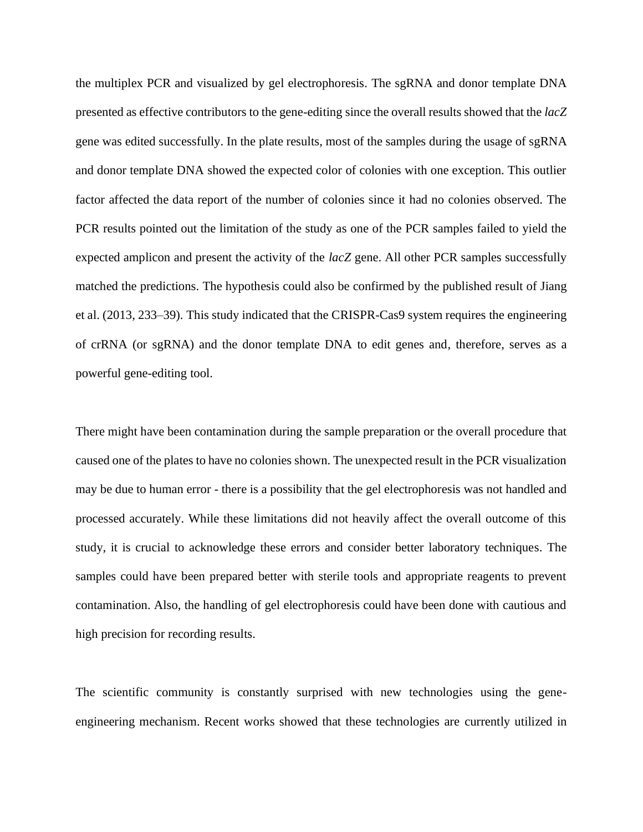the multiplex PCR and visualized by gel electrophoresis. The sgRNA and donor template DNA presented as effective contributors to the gene-editing since the overall results showed that the *lacZ* gene was edited successfully. In the plate results, most of the samples during the usage of sgRNA and donor template DNA showed the expected color of colonies with one exception. This outlier factor affected the data report of the number of colonies since it had no colonies observed. The PCR results pointed out the limitation of the study as one of the PCR samples failed to yield the expected amplicon and present the activity of the *lacZ* gene. All other PCR samples successfully matched the predictions. The hypothesis could also be confirmed by the published result of Jiang et al. (2013, 233–39). This study indicated that the CRISPR-Cas9 system requires the engineering of crRNA (or sgRNA) and the donor template DNA to edit genes and, therefore, serves as a powerful gene-editing tool.

There might have been contamination during the sample preparation or the overall procedure that caused one of the plates to have no colonies shown. The unexpected result in the PCR visualization may be due to human error - there is a possibility that the gel electrophoresis was not handled and processed accurately. While these limitations did not heavily affect the overall outcome of this study, it is crucial to acknowledge these errors and consider better laboratory techniques. The samples could have been prepared better with sterile tools and appropriate reagents to prevent contamination. Also, the handling of gel electrophoresis could have been done with cautious and high precision for recording results.

The scientific community is constantly surprised with new technologies using the geneengineering mechanism. Recent works showed that these technologies are currently utilized in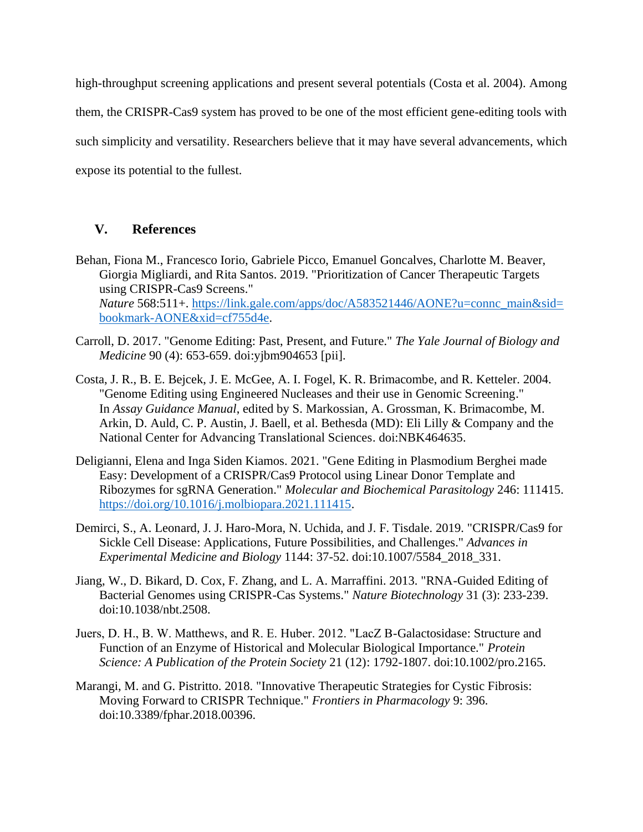high-throughput screening applications and present several potentials (Costa et al. 2004). Among them, the CRISPR-Cas9 system has proved to be one of the most efficient gene-editing tools with such simplicity and versatility. Researchers believe that it may have several advancements, which expose its potential to the fullest.

## **V. References**

- Behan, Fiona M., Francesco Iorio, Gabriele Picco, Emanuel Goncalves, Charlotte M. Beaver, Giorgia Migliardi, and Rita Santos. 2019. "Prioritization of Cancer Therapeutic Targets using CRISPR-Cas9 Screens." *Nature* 568:511+. [https://link.gale.com/apps/doc/A583521446/AONE?u=connc\\_main&sid=](https://link.gale.com/apps/doc/A583521446/AONE?u=connc_main&sid=bookmark-AONE&xid=cf755d4e) [bookmark-AONE&xid=cf755d4e.](https://link.gale.com/apps/doc/A583521446/AONE?u=connc_main&sid=bookmark-AONE&xid=cf755d4e)
- Carroll, D. 2017. "Genome Editing: Past, Present, and Future." *The Yale Journal of Biology and Medicine* 90 (4): 653-659. doi:yjbm904653 [pii].
- Costa, J. R., B. E. Bejcek, J. E. McGee, A. I. Fogel, K. R. Brimacombe, and R. Ketteler. 2004. "Genome Editing using Engineered Nucleases and their use in Genomic Screening." In *Assay Guidance Manual*, edited by S. Markossian, A. Grossman, K. Brimacombe, M. Arkin, D. Auld, C. P. Austin, J. Baell, et al. Bethesda (MD): Eli Lilly & Company and the National Center for Advancing Translational Sciences. doi:NBK464635.
- Deligianni, Elena and Inga Siden Kiamos. 2021. "Gene Editing in Plasmodium Berghei made Easy: Development of a CRISPR/Cas9 Protocol using Linear Donor Template and Ribozymes for sgRNA Generation." *Molecular and Biochemical Parasitology* 246: 111415. [https://doi.org/10.1016/j.molbiopara.2021.111415.](https://doi.org/10.1016/j.molbiopara.2021.111415)
- Demirci, S., A. Leonard, J. J. Haro-Mora, N. Uchida, and J. F. Tisdale. 2019. "CRISPR/Cas9 for Sickle Cell Disease: Applications, Future Possibilities, and Challenges." *Advances in Experimental Medicine and Biology* 1144: 37-52. doi:10.1007/5584\_2018\_331.
- Jiang, W., D. Bikard, D. Cox, F. Zhang, and L. A. Marraffini. 2013. "RNA-Guided Editing of Bacterial Genomes using CRISPR-Cas Systems." *Nature Biotechnology* 31 (3): 233-239. doi:10.1038/nbt.2508.
- Juers, D. H., B. W. Matthews, and R. E. Huber. 2012. "LacZ Β-Galactosidase: Structure and Function of an Enzyme of Historical and Molecular Biological Importance." *Protein Science: A Publication of the Protein Society* 21 (12): 1792-1807. doi:10.1002/pro.2165.
- Marangi, M. and G. Pistritto. 2018. "Innovative Therapeutic Strategies for Cystic Fibrosis: Moving Forward to CRISPR Technique." *Frontiers in Pharmacology* 9: 396. doi:10.3389/fphar.2018.00396.